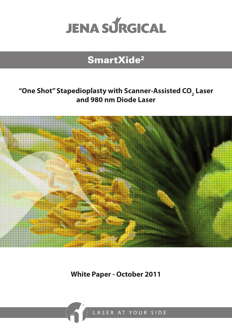

# SmartXide2

## **"One Shot" Stapedioplasty with Scanner-Assisted CO2 Laser and 980 nm Diode Laser**



**White Paper - October 2011**

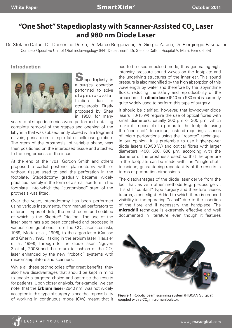### **"One Shot" Stapedioplasty with Scanner-Assisted CO2 Laser and 980 nm Diode Laser**

Dr. Stefano Dallari, Dr. Domenico Durso, Dr. Marco Borgonzoni, Dr. Giorgio Zaraca, Dr. Piergiorgio Pasqualini Complex Operative Unit of Otorhinolaryngology (ENT Department) (Dr. Stefano Dallari) Hospital A. Murri, Fermo (Italy)

#### **Introduction**



 $\bigcup$  tapedioplasty is a surgical operation performed to solve stapedio-ovalar fixation due to otosclerosis. Firstly proposed by Shea in 1958, for many

years total stapedectomies were performed, entailing complete removal of the stapes and opening of the labyrinth that was subsequently closed with a fragment of vein, pericardium, simple fat or cellulose gelatine. The stem of the prosthesis, of variable shape, was then positioned on the interposed tissue and attached to the long process of the incus.

At the end of the '70s, Gordon Smith and others proposed a partial posterior platinectomy with or without tissue used to seal the perforation in the footplate. Stapedotomy gradually became widely practiced, simply in the form of a small aperture in the footplate into which the "customised" stem of the prothesis was fitted.

Over the years, stapedotomy has been performed using various instruments, from manual perforators to different types of drills, the most recent and codified of which is the Skeeter® Oto-Tool. The use of the laser beam has also been conceived and proposed in various configurations: from the CO $_{_2}$  laser (Lesinski, 1989, Motta et al., 1996), to the argon-laser (Causse and Gherini, 1993), taking in the erbium laser (Hausler et al. 1999), through to the diode laser (Nguyen 3 et al., 2008) and the return to fashion of the  $CO<sub>2</sub>$ laser enhanced by the new "robotic" systems with micromanipulators and scanners.

While all these technologies offer great benefits, they also have disadvantages that should be kept in mind to enable a targeted choice and optimise the results for patients. Upon closer analysis, for example, we can note that the **Erbium laser** (2940 nm) was not widely accepted in this type of surgery, since the impossibility of working in continuous mode (CW) meant that it

had to be used in pulsed mode, thus generating highintensity pressure sound waves on the footplate and the underlying structures of the inner ear. This sound pressure is also magnified by the high absorption of this wavelength by water and therefore by the labyrinthine fluids, reducing the safety and reproducibility of the procedure. The **diode laser** (940 nm-980 nm) is currently quite widely used to perform this type of surgery.

It should be clarified, however, that low-power diode lasers (10/15 W) require the use of optical fibres with small diameters, usually 200 µm or 300 µm, which make it impossible to perforate the footplate using the "one shot" technique, instead requiring a series of micro perforations using the "rosette" technique. In our opinion, it is preferable to use higher-power diode lasers (30/50 W) and optical fibres with larger diameters (400, 500, 600 μm, according with the diameter of the prosthesis used) so that the aperture in the footplate can be made with the "single shot" technique, guaranteeing repeatability of the results in terms of perforation dimensions.

The disadvantages of the diode laser derive from the fact that, as with other methods (e.g. piezosurgery), it is still "contact" type surgery and therefore causes trauma, albeit slight. Added to which there is reduced visibility in the operating "canal" due to the insertion of the fibre and if necessary the handpiece. The **microdrill** technique is extremely effective and well documented in literature, even though it features



**Figure 1**. Robotic beam scanning system (HISCAN Surgical) coupled with a CO $_{\rm 2}$  micromanipulator.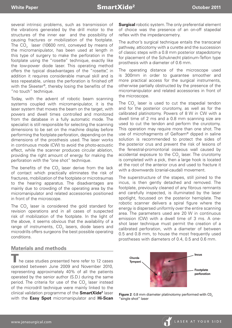several intrinsic problems, such as transmission of the vibrations generated by the drill motor to the structures of the inner ear and the possibility of causing fractures or mobilization of the footplate. The CO $_{\rm_2}$  laser (10600 nm), conveyed by means of the micromanipulator, has been used at length in this type of surgery to make the perforation in the footplate using the "rosette" technique, exactly like the low-power diode laser. This operating method offers the typical disadvantages of the "rosette", in addition it requires considerable manual skill and is less repeatable, unless the perforation is finished off with the Skeeter®, thereby losing the benefits of the "no touch" technique.

Today, with the advent of robotic beam scanning systems coupled with micromanipulator, it is the laser system that moves the beam on the target, with powers and dwell times controlled and monitored from the database in a fully automatic mode. The specialist is still responsible for selecting the scanning dimensions to be set on the machine display before performing the footplate perforation, depending on the dimensions of the prosthesis used. The laser works in continuous mode (CW) to avoid the photo-acoustic effect, while the scanner produces circular ablation, providing the right amount of energy for making the perforation with the "one shot" technique.

The benefits of the CO $_{\textrm{\tiny{2}}}$  laser derive from the lack of contact which practically eliminates the risk of fractures, mobilization of the footplate or microtraumas to the hearing apparatus. The disadvantages are mainly due to crowding of the operating area by the micromanipulator and related accessories positioned in front of the microscope.

The CO $_{\textrm{\tiny{2}}}$  laser is considered the gold standard for revision operations and in all cases of suspected risk of mobilization of the footplate. In the light of the above, it seems obvious that the availability of a range of instruments, CO $_{\textrm{\tiny{2}}}$  lasers, diode lasers and microdrills offers surgeons the best possible operating conditions.

#### **Materials and methods**

he case studies presented here refer to 12 cases operated between June 2009 and November 2010, representing approximately 40% of all the patients operated by the senior author (S.D.) during the same period. The criteria for use of the CO $_{\textrm{\tiny{2}}}$  laser instead of the microdrill technique were mainly linked to the clinical validation programme of the **SmartXide2** laser with the **Easy Spot** micromanipulator and **Hi-Scan** 

**Surgical** robotic system. The only preferential element of choice was the presence of an on-off stapedial reflex with the impedancemetry.

The author's surgical technique entails the transcanal pathway, atticotomy with a curette and the succession of classic steps with a 0.8 mm posterior stapedotomy for placement of the Schuknecht platinum-Teflon type prosthesis with a diameter of 0.6 mm.

The operating distance of the microscope used is 300mm in order to guarantee smoother and more practical access for the surgical instruments, otherwise partially obstructed by the presence of the micromanipulator and related accessories in front of the microscope.

The CO<sub>2</sub> laser is used to cut the stapedial tendon and for the posterior crurotomy, as well as for the calibrated platinotomy. Powers of 8 W in CW with a dwell time of 2 ms and a 0.8 mm scanning size are used to cut the tendon and perform the crurotomy. This operation may require more than one shot. The use of microfragments of Gelfoam® dipped in saline solution is recommended to protect the sides of the posterior crus and prevent the risk of lesions of the fenestral-promontorial osseous wall caused by accidental exposure to the  $\mathsf{CO}_2$  laser. The crurotomy is completed with a pick, then a large hook is located at the root of the anterior crus and used to fracture it with a downwards (cranial-caudal) movement.

The superstructure of the stapes, still joined to the incus, is then gently detached and removed. The footplate, previously cleaned of any fibrous remnants and carefully inspected, is illuminated by the laser spotlight, focussed on the posterior hemiplate. The robotic scanner delivers a spiral figure where the energy is dispersed uniformly over the entire scanning area. The parameters used are 20 W in continuous emission (CW) with a dwell time of 3 ms. A oneshot laser technique must permit the creation of a calibrated perforation, with a diameter of between 0.5 and 0.8 mm, to house the most frequently used prostheses with diameters of 0.4, 0.5 and 0.6 mm.



**Figure 2**. 0.8 mm diameter platinotomy performed with C0<sub>2</sub> "single shot" laser

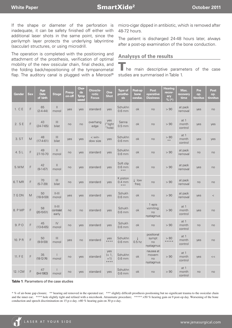If the shape or diameter of the perforation is inadequate, it can be safety finished off either with additional laser shots in the same point, since the perilymph layer protects the underlying labyrintine (saccular) structures, or using microdrill.

The operation is completed with the positioning and attachment of the prosthesis, verification of optimal mobility of the new ossicular chain, final checks, and the folding back/repositioning of the tympanometal flap. The auditory canal is plugged with a Merocel<sup>®</sup> micro-cigar dipped in antibiotic, which is removed after 48-72 hours.

The patient is discharged 24-48 hours later, always after a post-op examination of the bone conduction.

#### **Analysys of the results**

he main descriptive parameters of the case studies are summarised in Table 1.

| Gender   | <b>Sex</b>  | Age<br><b>Date</b><br>of birth | <b>Stage</b>                                   | Preop<br>on-off | <b>Chor-</b><br>da<br><b>Tymp</b><br>saved | Otoscle-<br>rotic<br><b>Focus</b> | One<br><b>Shot</b>               | <b>Type of</b><br>prosthe-<br>sis          | Post-op<br>bone<br>conduc.        | Post<br>operative<br><b>Dizziness</b>  | Hearing<br>recov-<br>ery<br>$% (*)$ | Max.<br>recovery<br>time   | Pre<br>op.<br>tinnitus | <b>Post</b><br>op.<br>tinnitus |
|----------|-------------|--------------------------------|------------------------------------------------|-----------------|--------------------------------------------|-----------------------------------|----------------------------------|--------------------------------------------|-----------------------------------|----------------------------------------|-------------------------------------|----------------------------|------------------------|--------------------------------|
| 1. C E   | F           | 65<br>$(2 - 4 - 44)$           | $\begin{array}{c} \hline \end{array}$<br>monol | yes             | yes                                        | standard                          | yes                              | Schukhn<br>$0.6$ mm                        | ok                                | no                                     | > 90                                | at pack<br>removal         | yes                    | no                             |
| 2. SE    | $\mathsf F$ | 43<br>$(24 - 7 - 65)$          | $\mathbf{III}$<br>bilat                        | no              | no                                         | overhang<br>edge                  | yes<br>("tight<br>"hole)         | Sanna<br>$0.5$ mm                          | ok                                | no                                     | > 90                                | at $1$<br>month<br>control | yes                    | yes                            |
| 3. ST    | M           | 48<br>$(17-4-61)$              | $\mathbf{III}$<br>bilat                        | yes             | yes                                        | $<$ win-<br>dow size              | yes                              | Schukhn<br>$0.6$ mm                        | ok                                | no                                     | > 80<br>$* *$                       | at 1<br>month<br>control   | yes                    | yes                            |
| 4. S L   | F           | 49<br>27-10-70                 | $\mathbf{H}$<br>monol                          | no              | yes                                        | standard                          | yes                              | Schukhn<br>$0.6$ mm                        | ok                                | no                                     | > 90                                | at pack<br>removal         | no                     | no                             |
| 5. MM    | F           | 42<br>$(9-1-67)$               | $\mathbf{H}$<br>monol                          | no              | yes                                        | standard                          | yes                              | Soft clip<br>$0.6$ mm<br>$\star\star\star$ | ok                                | no                                     | > 90                                | at pack<br>removal         | yes                    | no                             |
| 6. TMR   | F           | 70<br>$(5 - 7 - 39)$           | $\begin{array}{c} \hline \end{array}$<br>bilat | no              | yes                                        | standard                          | yes                              | K piston<br>$0.4 \text{ mm}$<br>$***$      | $\downarrow$ low<br>freq          | no                                     | > 90                                | at pack<br>removal         | no                     | no                             |
| 7. G DN  | M           | 50<br>$(18-9-59)$              | $  -   $<br>monol                              | yes             | yes                                        | standard                          | yes                              | Schukh<br>$0.6$ mm                         | ok                                | no                                     | > 90                                | at pack<br>removal         | ves                    | $\,<$                          |
| 8. P MP  | F           | 58<br>$(20-10-51)$             | $  -   $<br>contralat<br>early                 | no              | no                                         | standard                          | yes                              | Schukh<br>$0.6$ mm                         | ok                                | 1 epis<br>vomiting;<br>no<br>nystagmus | > 90                                | at 1<br>month<br>control   | yes                    | no                             |
| 9. PO    | F           | 45<br>$(13 - 6 - 65)$          | IV<br>monol                                    | no              | yes                                        | standard                          | yes                              | Schukh<br>$0.6$ mm                         | ok                                | no                                     | > 90                                | at 1<br>month<br>control   | no                     | no                             |
| 10. PR   | F           | 50<br>$(9 - 9 - 59)$           | $\mathbf{III}$<br>monol                        | yes             | no                                         | standard                          | yes<br>$***$                     | Schukhn<br>$0.6$ mm                        | $\downarrow$<br>0.5 <sub>hz</sub> | positional<br>sympt<br>no<br>nystagmus | > 80<br>*****                       | at 1<br>month<br>control   | yes                    | no                             |
| 11. F E  | F           | 35<br>$(18-12-74)$             | $\overline{\phantom{a}}$<br>monol              | no              | yes                                        | standard                          | yes<br>$(+ 1,$<br>$+1)$<br>$***$ | Schukhn<br>$0.6$ mm                        | ok                                | nausea at<br>movem<br>no<br>nystagmus  | > 90                                | at $1$<br>month<br>control | yes                    | <<                             |
| 12. I CM | F           | 47<br>$(9-4-1963)$             | monol                                          | no              | yes                                        | standard                          | yes                              | Schukhn<br>$0.6$ mm                        | ok                                | no                                     | > 90                                | at 1<br>month<br>control   | no                     | no                             |

#### **Table 1**. Parameters of the case studies

\* % of air-bone gap closure; \*\* hearing aid removed in the operated ear; \*\*\* slightly difficult prosthesis positioning but no significant trauma to the ossicular chain and the inner ear; \*\*\*\* hole slightly tight and refined with a microhook. Atraumatic procedure; \*\*\*\*\* >50 % hearing gain on 9 post-op day. Worsening of the bone conduction and speech discrimination on 15 p-o day. >80 % hearing gain on 30 p-o day.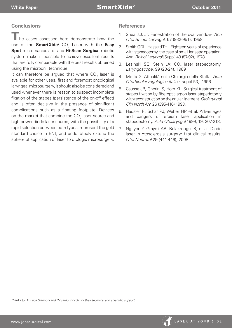### **Conclusions**

he cases assessed here demonstrate how the use of the **SmartXide<sup>2</sup>** CO<sub>2</sub> Laser with the **Easy Spot** micromanipulator and **Hi-Scan Surgical** robotic system make it possible to achieve excellent results that are fully comparable with the best results obtained using the microdrill technique.

It can therefore be argued that where  $\mathsf{CO}_2^{}$  laser is available for other uses, first and foremost oncological laryngeal microsurgery, it should also be considered and used whenever there is reason to suspect incomplete fixation of the stapes (persistence of the on-off effect) and is often decisive in the presence of significant complications such as a floating footplate. Devices on the market that combine the CO<sub>2</sub> laser source and high-power diode laser source, with the possibility of a rapid selection between both types, represent the gold standard choice in ENT, and undoubtedly extend the sphere of application of laser to otologic microsurgery.

#### **References**

- 1. Shea J.J. Jr: Fenestration of the oval window. *Ann Otol Rhinol Laryngol*, 67 (932-951), 1958.
- 2. Smith GDL, Hassard TH: Eighteen years of experience with stapedotomy, the case of small fenestra operation. *Ann. Rhinol Laryngol* [Suppl] 49 (87-92), 1978.
- 3. Lesinski SG, Stein JA: CO $_{2}$  laser stapedotomy. *Laryngoscope*, 99 (20-24), 1989
- 4. Motta G: Attualità nella Chirurgia della Staffa. *Acta Otorhinolaryngologica italica* suppl 53, 1996.
- 5. Causse JB, Gherini S, Horn KL. Surgical treatment of stapes fixation by fiberoptic argon laser stapedotomy with reconstruction on the anular ligament. *Otolaryngol Clin North* Am 26 (395-416) 1993.
- 6. Hausler R, Schar PJ, Weber HP, et al. Advantages and dangers of erbium laser application in stapedectomy. *Acta Otolaryngol* 1999; 19: 207-213.
- 7. Nguyen Y, Grayeli AB, Belazzougui R, et al. Diode laser in otosclerosis surgery: first clinical results. *Otol Neurotol* 29 (441-446), 2008

*Thanks to Dr. Luca Giannoni and Riccardo Stocchi for their technical and scientific support.*